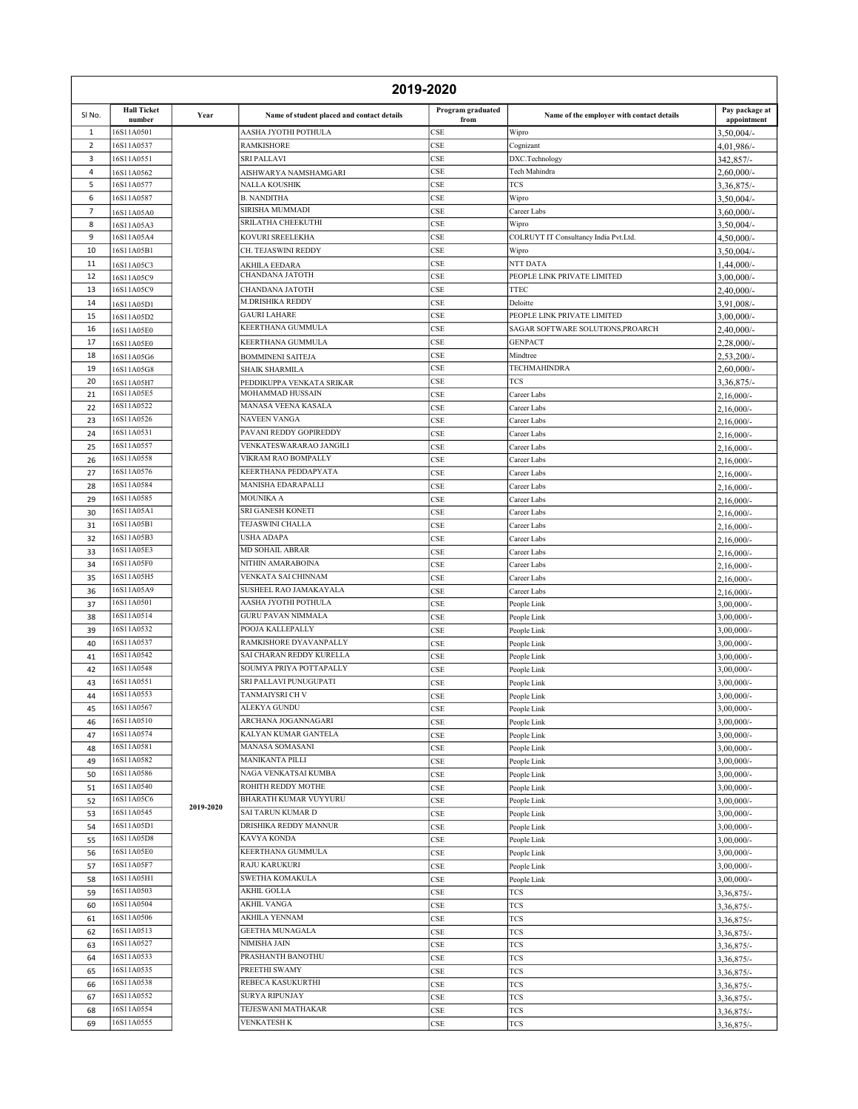| 2019-2020      |                              |           |                                                   |                                    |                                                                  |                                |
|----------------|------------------------------|-----------|---------------------------------------------------|------------------------------------|------------------------------------------------------------------|--------------------------------|
| SINO.          | <b>Hall Ticket</b><br>number | Year      | Name of student placed and contact details        | Program graduated<br>from          | Name of the employer with contact details                        | Pay package at<br>appointment  |
| 1              | 16S11A0501                   |           | AASHA JYOTHI POTHULA                              | CSE                                | Wipro                                                            | 3,50,004/-                     |
| $\overline{2}$ | 16S11A0537                   |           | <b>RAMKISHORE</b>                                 | CSE                                | Cognizant                                                        | 4,01,986/-                     |
| 3              | 16S11A0551                   |           | SRI PALLAVI                                       | <b>CSE</b>                         | DXC.Technology                                                   | 342,857/-                      |
| 4              | 16S11A0562<br>16S11A0577     |           | AISHWARYA NAMSHAMGARI                             | CSE                                | Tech Mahindra                                                    | 2,60,000/-                     |
| 5<br>6         | 16S11A0587                   |           | NALLA KOUSHIK<br><b>B. NANDITHA</b>               | CSE<br>CSE                         | TCS<br>Wipro                                                     | 3,36,875/-<br>3,50,004/-       |
| $\overline{7}$ | 16S11A05A0                   |           | SIRISHA MUMMADI                                   | CSE                                | Career Labs                                                      | $3,60,000/-$                   |
| 8              | 16S11A05A3                   |           | SRILATHA CHEEKUTHI                                | CSE                                | Wipro                                                            | 3,50,004/-                     |
| 9              | 16S11A05A4                   |           | KOVURI SREELEKHA                                  | <b>CSE</b>                         | COLRUYT IT Consultancy India Pvt.Ltd.                            | 4,50,000/-                     |
| 10             | 16S11A05B1                   |           | CH. TEJASWINI REDDY                               | CSE                                | Wipro                                                            | 3,50,004/-                     |
| 11             | 16S11A05C3                   |           | AKHILA EEDARA                                     | CSE                                | NTT DATA                                                         | 1,44,000/-                     |
| 12             | 16S11A05C9                   |           | CHANDANA JATOTH                                   | CSE                                | PEOPLE LINK PRIVATE LIMITED                                      | $3,00,000/$ -                  |
| 13             | 16S11A05C9                   |           | CHANDANA JATOTH<br><b>M.DRISHIKA REDDY</b>        | CSE                                | <b>TTEC</b>                                                      | 2,40,000/-                     |
| 14             | 16S11A05D1                   |           | <b>GAURI LAHARE</b>                               | $\ensuremath{\mathsf{CSE}}$<br>CSE | Deloitte                                                         | 3,91,008/-                     |
| 15<br>16       | 16S11A05D2                   |           | KEERTHANA GUMMULA                                 | CSE                                | PEOPLE LINK PRIVATE LIMITED<br>SAGAR SOFTWARE SOLUTIONS, PROARCH | 3,00,000/-<br>2,40,000/-       |
| 17             | 16S11A05E0<br>16S11A05E0     |           | KEERTHANA GUMMULA                                 | <b>CSE</b>                         | <b>GENPACT</b>                                                   | 2,28,000/-                     |
| 18             | 16S11A05G6                   |           | <b>BOMMINENI SAITEJA</b>                          | CSE                                | Mindtree                                                         | 2,53,200/-                     |
| 19             | 16S11A05G8                   |           | SHAIK SHARMILA                                    | CSE                                | <b>TECHMAHINDRA</b>                                              | $2,60,000/$ -                  |
| 20             | 16S11A05H7                   |           | PEDDIKUPPA VENKATA SRIKAR                         | CSE                                | TCS                                                              | 3,36,875/-                     |
| 21             | 16S11A05E5                   |           | MOHAMMAD HUSSAIN                                  | CSE                                | Career Labs                                                      | $2,16,000/$ -                  |
| 22             | 16S11A0522                   |           | MANASA VEENA KASALA                               | CSE                                | Career Labs                                                      | $2,16,000/$ -                  |
| 23             | 16S11A0526<br>16S11A0531     |           | <b>NAVEEN VANGA</b><br>PAVANI REDDY GOPIREDDY     | CSE                                | Career Labs                                                      | $2,16,000/$ -                  |
| 24<br>25       | 16S11A0557                   |           | VENKATESWARARAO JANGILI                           | CSE<br>CSE                         | Career Labs<br>Career Labs                                       | $2,16,000/$ -                  |
| 26             | 16S11A0558                   |           | VIKRAM RAO BOMPALLY                               | <b>CSE</b>                         | Career Labs                                                      | $2,16,000/$ -<br>$2,16,000/$ - |
| 27             | 16S11A0576                   |           | KEERTHANA PEDDAPYATA                              | CSE                                | Career Labs                                                      | $2,16,000/$ -                  |
| 28             | 16S11A0584                   |           | MANISHA EDARAPALLI                                | CSE                                | Career Labs                                                      | $2,16,000/$ -                  |
| 29             | 16S11A0585                   |           | <b>MOUNIKA A</b>                                  | CSE                                | Career Labs                                                      | $2,16,000/$ -                  |
| 30             | 16S11A05A1                   |           | SRI GANESH KONETI                                 | CSE                                | Career Labs                                                      | $2,16,000/$ -                  |
| 31             | 16S11A05B1                   |           | TEJASWINI CHALLA                                  | CSE                                | Career Labs                                                      | $2,16,000/$ -                  |
| 32             | 16S11A05B3                   |           | <b>USHA ADAPA</b>                                 | CSE                                | Career Labs                                                      | $2,16,000/$ -                  |
| 33<br>34       | 16S11A05E3<br>16S11A05F0     |           | MD SOHAIL ABRAR<br>NITHIN AMARABOINA              | CSE<br>CSE                         | Career Labs                                                      | $2,16,000/$ -                  |
| 35             | 16S11A05H5                   |           | VENKATA SAI CHINNAM                               | CSE                                | Career Labs<br>Career Labs                                       | $2,16,000/$ -<br>$2,16,000/$ - |
| 36             | 16S11A05A9                   |           | SUSHEEL RAO JAMAKAYALA                            | <b>CSE</b>                         | Career Labs                                                      | $2,16,000/$ -                  |
| 37             | 16S11A0501                   |           | AASHA JYOTHI POTHULA                              | CSE                                | People Link                                                      | $3,00,000/$ -                  |
| 38             | 16S11A0514                   |           | <b>GURU PAVAN NIMMALA</b>                         | CSE                                | People Link                                                      | $3,00,000/$ -                  |
| 39             | 16S11A0532                   |           | POOJA KALLEPALLY                                  | $\ensuremath{\mathsf{CSE}}$        | People Link                                                      | $3,00,000/$ -                  |
| 40             | 16S11A0537                   |           | RAMKISHORE DYAVANPALLY                            | CSE                                | People Link                                                      | $3,00,000/$ -                  |
| 41             | 16S11A0542                   |           | SAI CHARAN REDDY KURELLA                          | CSE                                | People Link                                                      | $3,00,000/$ -                  |
| 42<br>43       | 16S11A0548<br>16S11A0551     |           | SOUMYA PRIYA POTTAPALLY<br>SRI PALLAVI PUNUGUPATI | CSE<br>CSE                         | People Link                                                      | $3,00,000/$ -                  |
| 44             | 16S11A0553                   |           | TANMAIYSRI CH V                                   | <b>CSE</b>                         | People Link<br>People Link                                       | $3,00,000/$ -<br>$3,00,000/$ - |
| 45             | 16S11A0567                   |           | ALEKYA GUNDU                                      | $_{\rm CSE}$                       | People Link                                                      | $3,00,000/$ -                  |
| 46             | 16S11A0510                   |           | ARCHANA JOGANNAGARI                               | CSE                                | People Link                                                      | $3,00,000/$ -                  |
| 47             | 16S11A0574                   |           | KALYAN KUMAR GANTELA                              | CSE                                | People Link                                                      | $3,00,000/$ -                  |
| 48             | 16S11A0581                   |           | MANASA SOMASANI                                   | $\ensuremath{\mathsf{CSE}}$        | People Link                                                      | $3,00,000/$ -                  |
| 49             | 16S11A0582                   |           | MANIKANTA PILLI                                   | $\ensuremath{\mathsf{CSE}}$        | People Link                                                      | $3,00,000/$ -                  |
| 50             | 16S11A0586<br>16S11A0540     |           | NAGA VENKATSAI KUMBA<br>ROHITH REDDY MOTHE        | CSE                                | People Link                                                      | $3,00,000/$ -                  |
| 51<br>52       | 16S11A05C6                   |           | BHARATH KUMAR VUYYURU                             | CSE<br>CSE                         | People Link<br>People Link                                       | $3,00,000/$ -<br>$3,00,000/$ - |
| 53             | 16S11A0545                   | 2019-2020 | SAI TARUN KUMAR D                                 | CSE                                | People Link                                                      | $3,00,000/$ -                  |
| 54             | 16S11A05D1                   |           | DRISHIKA REDDY MANNUR                             | CSE                                | People Link                                                      | $3,00,000/$ -                  |
| 55             | 16S11A05D8                   |           | KAVYA KONDA                                       | CSE                                | People Link                                                      | $3,00,000/$ -                  |
| 56             | 16S11A05E0                   |           | KEERTHANA GUMMULA                                 | $\ensuremath{\mathsf{CSE}}$        | People Link                                                      | $3,00,000/$ -                  |
| 57             | 16S11A05F7                   |           | RAJU KARUKURI                                     | $\ensuremath{\mathsf{CSE}}$        | People Link                                                      | $3,00,000/$ -                  |
| 58             | 16S11A05H1                   |           | SWETHA KOMAKULA                                   | $\ensuremath{\mathsf{CSE}}$        | People Link                                                      | $3,00,000/$ -                  |
| 59<br>60       | 16S11A0503<br>16S11A0504     |           | AKHIL GOLLA<br><b>AKHIL VANGA</b>                 | $\ensuremath{\mathsf{CSE}}$        | <b>TCS</b>                                                       | 3,36,875/-                     |
| 61             | 16S11A0506                   |           | AKHILA YENNAM                                     | $\ensuremath{\mathsf{CSE}}$<br>CSE | <b>TCS</b><br>TCS                                                | $3,36,875/-$                   |
| 62             | 16S11A0513                   |           | <b>GEETHA MUNAGALA</b>                            | CSE                                | TCS                                                              | 3,36,875/-<br>$3,36,875/-$     |
| 63             | 16S11A0527                   |           | NIMISHA JAIN                                      | $\ensuremath{\mathsf{CSE}}$        | TCS                                                              | 3,36,875/-                     |
| 64             | 16S11A0533                   |           | PRASHANTH BANOTHU                                 | $\ensuremath{\mathsf{CSE}}$        | <b>TCS</b>                                                       | $3,36,875/-$                   |
| 65             | 16S11A0535                   |           | PREETHI SWAMY                                     | CSE                                | TCS                                                              | 3,36,875/-                     |
| 66             | 16S11A0538                   |           | REBECA KASUKURTHI                                 | $\ensuremath{\mathsf{CSE}}$        | <b>TCS</b>                                                       | 3,36,875/-                     |
| 67             | 16S11A0552                   |           | SURYA RIPUNJAY                                    | CSE                                | <b>TCS</b>                                                       | 3,36,875/-                     |
| 68             | 16S11A0554<br>16S11A0555     |           | TEJESWANI MATHAKAR<br>VENKATESH K                 | $\ensuremath{\mathsf{CSE}}$        | <b>TCS</b>                                                       | $3,36,875/-$                   |
| 69             |                              |           |                                                   | CSE                                | TCS                                                              | 3,36,875/-                     |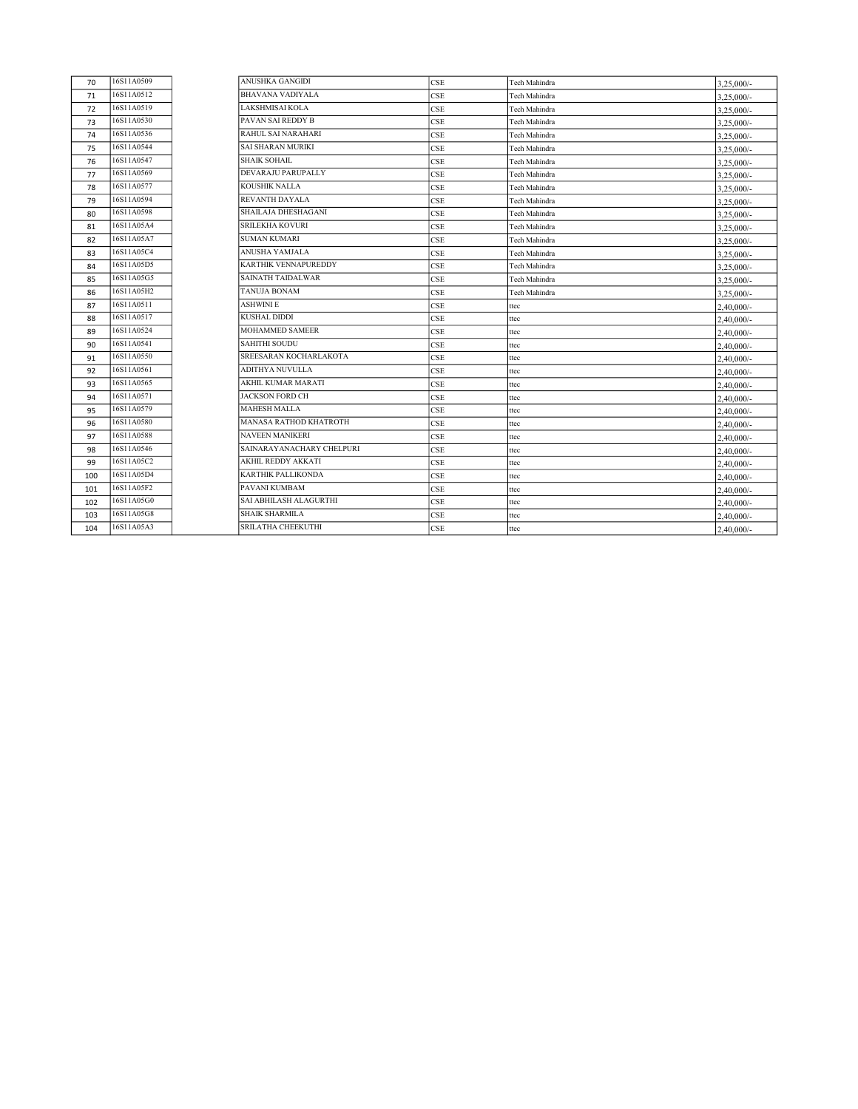| 70  | 16S11A0509 | ANUSHKA GANGIDI               | <b>CSE</b> | Tech Mahindra | $3,25,000/-$  |
|-----|------------|-------------------------------|------------|---------------|---------------|
| 71  | 16S11A0512 | <b>BHAVANA VADIYALA</b>       | <b>CSE</b> | Tech Mahindra | $3,25,000/-$  |
| 72  | 16S11A0519 | <b>LAKSHMISAI KOLA</b>        | CSE        | Tech Mahindra | $3,25,000/-$  |
| 73  | 16S11A0530 | PAVAN SAI REDDY B             | <b>CSE</b> | Tech Mahindra | $3,25,000/-$  |
| 74  | 16S11A0536 | <b>RAHUL SAI NARAHARI</b>     | <b>CSE</b> | Tech Mahindra | $3,25,000/-$  |
| 75  | 16S11A0544 | <b>SAI SHARAN MURIKI</b>      | <b>CSE</b> | Tech Mahindra | $3.25.000/-$  |
| 76  | 16S11A0547 | <b>SHAIK SOHAIL</b>           | <b>CSE</b> | Tech Mahindra | $3,25,000/-$  |
| 77  | 16S11A0569 | DEVARAJU PARUPALLY            | CSE        | Tech Mahindra | $3,25,000/-$  |
| 78  | 16S11A0577 | KOUSHIK NALLA                 | <b>CSE</b> | Fech Mahindra | $3,25,000/-$  |
| 79  | 16S11A0594 | <b>REVANTH DAYALA</b>         | <b>CSE</b> | Tech Mahindra | $3,25,000/$ - |
| 80  | 16S11A0598 | SHAILAJA DHESHAGANI           | CSE        | Tech Mahindra | $3,25,000/-$  |
| 81  | 16S11A05A4 | <b>SRILEKHA KOVURI</b>        | <b>CSE</b> | Tech Mahindra | $3,25,000/-$  |
| 82  | 16S11A05A7 | <b>SUMAN KUMARI</b>           | <b>CSE</b> | Tech Mahindra | $3,25,000/-$  |
| 83  | 16S11A05C4 | ANUSHA YAMJALA                | <b>CSE</b> | Tech Mahindra | $3,25,000/-$  |
| 84  | 16S11A05D5 | <b>KARTHIK VENNAPUREDDY</b>   | CSE        | Tech Mahindra | $3,25,000/-$  |
| 85  | 16S11A05G5 | <b>SAINATH TAIDALWAR</b>      | CSE        | Tech Mahindra | $3,25,000/-$  |
| 86  | 16S11A05H2 | <b>TANUJA BONAM</b>           | CSE        | Tech Mahindra | $3,25,000/-$  |
| 87  | 16S11A0511 | <b>ASHWINI E</b>              | <b>CSE</b> | ttec          | 2,40,000/-    |
| 88  | 16S11A0517 | <b>KUSHAL DIDDI</b>           | <b>CSE</b> | ttec          | $2,40,000/$ - |
| 89  | 16S11A0524 | <b>MOHAMMED SAMEER</b>        | CSE        | ttec          | 2,40,000/-    |
| 90  | 16S11A0541 | <b>SAHITHI SOUDU</b>          | <b>CSE</b> | ttec          | $2,40,000/$ - |
| 91  | 16S11A0550 | SREESARAN KOCHARLAKOTA        | <b>CSE</b> | ttec          | $2,40,000/$ - |
| 92  | 16S11A0561 | ADITHYA NUVULLA               | <b>CSE</b> | ttec          | $2,40,000/$ - |
| 93  | 16S11A0565 | AKHIL KUMAR MARATI            | CSE        | ttec          | $2,40,000/$ - |
| 94  | 16S11A0571 | <b>JACKSON FORD CH</b>        | CSE        | ttec          | $2,40,000/$ - |
| 95  | 16S11A0579 | <b>MAHESH MALLA</b>           | CSE        | ttec          | $2,40,000/$ - |
| 96  | 16S11A0580 | <b>MANASA RATHOD KHATROTH</b> | <b>CSE</b> | ttec          | $2,40,000/$ - |
| 97  | 16S11A0588 | <b>NAVEEN MANIKERI</b>        | <b>CSE</b> | ttec          | $2,40,000/$ - |
| 98  | 16S11A0546 | SAINARAYANACHARY CHELPURI     | CSE        | ttec          | $2,40,000/$ - |
| 99  | 16S11A05C2 | AKHIL REDDY AKKATI            | <b>CSE</b> | ttec          | $2,40,000/$ - |
| 100 | 16S11A05D4 | KARTHIK PALLIKONDA            | <b>CSE</b> | ttec          | $2,40,000/$ - |
| 101 | 16S11A05F2 | PAVANI KUMBAM                 | <b>CSE</b> | ttec          | 2,40,000/-    |
| 102 | 16S11A05G0 | SAI ABHILASH ALAGURTHI        | CSE        | ttec          | $2,40,000/$ - |
| 103 | 16S11A05G8 | <b>SHAIK SHARMILA</b>         | CSE        | ttec          | $2,40,000/$ - |
| 104 | 16S11A05A3 | <b>SRILATHA CHEEKUTHI</b>     | <b>CSE</b> | ttec          | $2,40,000/$ - |
|     |            |                               |            |               |               |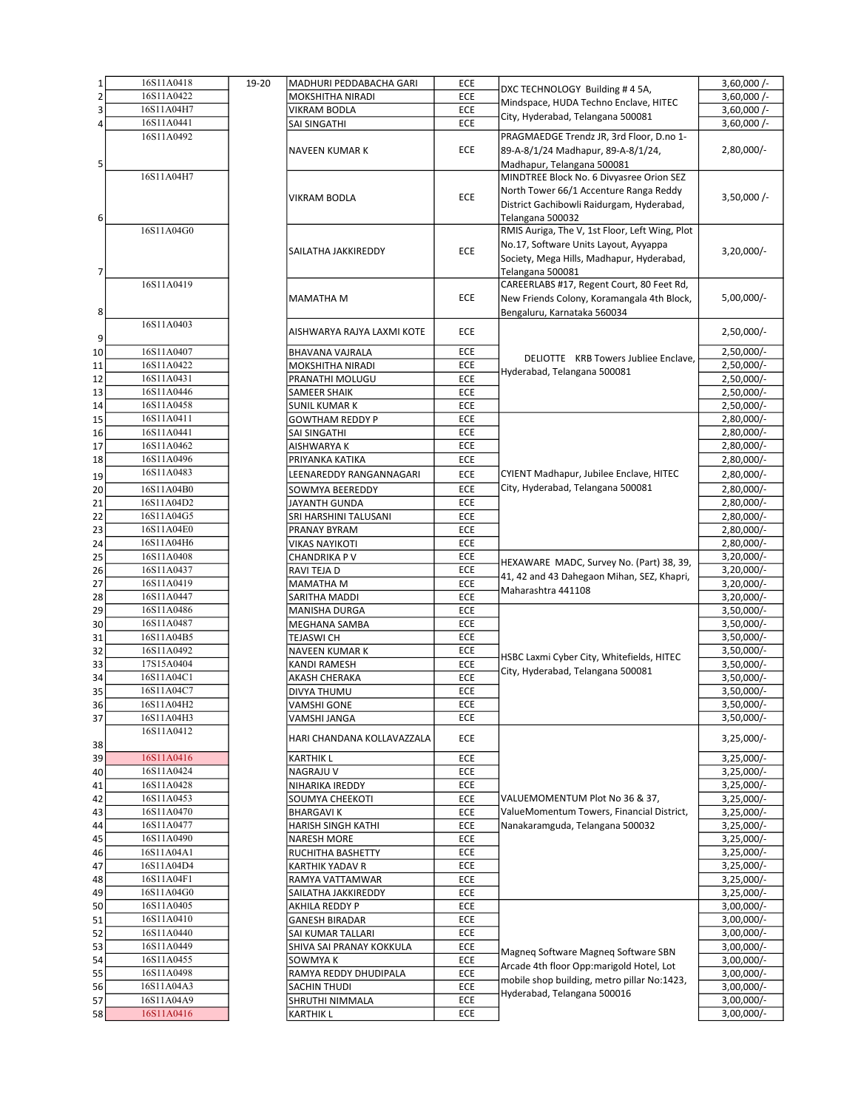| $\mathbf{1}$   | 16S11A0418 | 19-20 | MADHURI PEDDABACHA GARI    | ECE        |                                                | $3,60,000$ /- |
|----------------|------------|-------|----------------------------|------------|------------------------------------------------|---------------|
| $\overline{2}$ | 16S11A0422 |       | <b>MOKSHITHA NIRADI</b>    | ECE        | DXC TECHNOLOGY Building #45A,                  | $3,60,000$ /- |
|                | 16S11A04H7 |       |                            |            | Mindspace, HUDA Techno Enclave, HITEC          |               |
| 3              |            |       | <b>VIKRAM BODLA</b>        | ECE        | City, Hyderabad, Telangana 500081              | $3,60,000$ /- |
| 4              | 16S11A0441 |       | SAI SINGATHI               | ECE        |                                                | $3,60,000/-$  |
|                | 16S11A0492 |       |                            |            | PRAGMAEDGE Trendz JR, 3rd Floor, D.no 1-       |               |
|                |            |       | NAVEEN KUMAR K             | <b>ECE</b> | 89-A-8/1/24 Madhapur, 89-A-8/1/24,             | 2,80,000/-    |
|                |            |       |                            |            |                                                |               |
| 5              |            |       |                            |            | Madhapur, Telangana 500081                     |               |
|                | 16S11A04H7 |       |                            |            | MINDTREE Block No. 6 Divyasree Orion SEZ       |               |
|                |            |       |                            |            | North Tower 66/1 Accenture Ranga Reddy         |               |
|                |            |       | <b>VIKRAM BODLA</b>        | ECE        | District Gachibowli Raidurgam, Hyderabad,      | $3,50,000$ /- |
|                |            |       |                            |            |                                                |               |
| 6              |            |       |                            |            | Telangana 500032                               |               |
|                | 16S11A04G0 |       |                            |            | RMIS Auriga, The V, 1st Floor, Left Wing, Plot |               |
|                |            |       |                            |            | No.17, Software Units Layout, Ayyappa          |               |
|                |            |       | SAILATHA JAKKIREDDY        | ECE        | Society, Mega Hills, Madhapur, Hyderabad,      | $3,20,000/-$  |
|                |            |       |                            |            |                                                |               |
| 7              |            |       |                            |            | Telangana 500081                               |               |
|                | 16S11A0419 |       |                            |            | CAREERLABS #17, Regent Court, 80 Feet Rd,      |               |
|                |            |       | <b>MAMATHA M</b>           | ECE        | New Friends Colony, Koramangala 4th Block,     | 5,00,000/-    |
|                |            |       |                            |            |                                                |               |
| 8              |            |       |                            |            | Bengaluru, Karnataka 560034                    |               |
|                | 16S11A0403 |       | AISHWARYA RAJYA LAXMI KOTE | <b>ECE</b> |                                                | $2,50,000/-$  |
| 9              |            |       |                            |            |                                                |               |
| 10             | 16S11A0407 |       | BHAVANA VAJRALA            | ECE        |                                                | $2,50,000/-$  |
|                | 16S11A0422 |       | MOKSHITHA NIRADI           | ECE        | DELIOTTE KRB Towers Jubliee Enclave,           | 2,50,000/-    |
| 11             |            |       |                            |            | Hyderabad, Telangana 500081                    |               |
| 12             | 16S11A0431 |       | PRANATHI MOLUGU            | ECE        |                                                | 2,50,000/-    |
| 13             | 16S11A0446 |       | <b>SAMEER SHAIK</b>        | ECE        |                                                | 2,50,000/-    |
| 14             | 16S11A0458 |       | <b>SUNIL KUMAR K</b>       | ECE        |                                                | 2,50,000/-    |
|                | 16S11A0411 |       |                            |            |                                                |               |
| 15             |            |       | <b>GOWTHAM REDDY P</b>     | ECE        |                                                | 2,80,000/-    |
| 16             | 16S11A0441 |       | SAI SINGATHI               | ECE        |                                                | 2,80,000/-    |
| 17             | 16S11A0462 |       | AISHWARYA K                | ECE        |                                                | 2,80,000/-    |
| 18             | 16S11A0496 |       | PRIYANKA KATIKA            | ECE        |                                                | 2,80,000/-    |
|                | 16S11A0483 |       |                            |            |                                                |               |
| 19             |            |       | LEENAREDDY RANGANNAGARI    | ECE        | CYIENT Madhapur, Jubilee Enclave, HITEC        | 2,80,000/-    |
| 20             | 16S11A04B0 |       | SOWMYA BEEREDDY            | ECE        | City, Hyderabad, Telangana 500081              | 2,80,000/-    |
| 21             | 16S11A04D2 |       | JAYANTH GUNDA              | ECE        |                                                | 2,80,000/-    |
|                | 16S11A04G5 |       |                            | ECE        |                                                | 2,80,000/-    |
| 22             |            |       | SRI HARSHINI TALUSANI      |            |                                                |               |
| 23             | 16S11A04E0 |       | PRANAY BYRAM               | ECE        |                                                | 2,80,000/-    |
| 24             | 16S11A04H6 |       | VIKAS NAYIKOTI             | ECE        |                                                | 2,80,000/-    |
| 25             | 16S11A0408 |       | CHANDRIKA P V              | ECE        |                                                | $3,20,000/-$  |
|                | 16S11A0437 |       | RAVI TEJA D                | ECE        | HEXAWARE MADC, Survey No. (Part) 38, 39,       | 3,20,000/-    |
| 26             |            |       |                            |            | 41, 42 and 43 Dahegaon Mihan, SEZ, Khapri,     |               |
| 27             | 16S11A0419 |       | <b>MAMATHA M</b>           | ECE        | Maharashtra 441108                             | $3,20,000/-$  |
| 28             | 16S11A0447 |       | SARITHA MADDI              | ECE        |                                                | $3,20,000/-$  |
| 29             | 16S11A0486 |       | MANISHA DURGA              | ECE        |                                                | 3,50,000/-    |
| 30             | 16S11A0487 |       | MEGHANA SAMBA              | ECE        |                                                | 3,50,000/-    |
|                |            |       |                            |            |                                                |               |
| 31             | 16S11A04B5 |       | <b>TEJASWI CH</b>          | ECE        |                                                | $3,50,000/-$  |
| 32             | 16S11A0492 |       | NAVEEN KUMAR K             | ECE        | HSBC Laxmi Cyber City, Whitefields, HITEC      | $3,50,000/-$  |
| 33             | 17S15A0404 |       | <b>KANDI RAMESH</b>        | ECE        |                                                | $3,50,000/-$  |
| 34             | 16S11A04C1 |       | AKASH CHERAKA              | ECE        | City, Hyderabad, Telangana 500081              | $3,50,000/-$  |
|                |            |       |                            |            |                                                |               |
| 35             | 16S11A04C7 |       | DIVYA THUMU                | ECE        |                                                | 3,50,000/-    |
| 36             | 16S11A04H2 |       | <b>VAMSHI GONE</b>         | ECE        |                                                | 3,50,000/-    |
| 37             | 16S11A04H3 |       | VAMSHI JANGA               | ECE        |                                                | $3,50,000/-$  |
|                | 16S11A0412 |       |                            |            |                                                |               |
|                |            |       | HARI CHANDANA KOLLAVAZZALA | ECE        |                                                | $3,25,000/-$  |
| 38             |            |       |                            |            |                                                |               |
| 39             | 16S11A0416 |       | <b>KARTHIK L</b>           | ECE        |                                                | $3,25,000/-$  |
| 40             | 16S11A0424 |       | <b>NAGRAJU V</b>           | ECE        |                                                | $3,25,000/-$  |
| 41             | 16S11A0428 |       | NIHARIKA IREDDY            | ECE        |                                                | 3,25,000/-    |
| 42             | 16S11A0453 |       | SOUMYA CHEEKOTI            | ECE        | VALUEMOMENTUM Plot No 36 & 37,                 | 3,25,000/-    |
|                |            |       |                            |            |                                                |               |
| 43             | 16S11A0470 |       | <b>BHARGAVIK</b>           | ECE        | ValueMomentum Towers, Financial District,      | 3,25,000/-    |
| 44             | 16S11A0477 |       | HARISH SINGH KATHI         | ECE        | Nanakaramguda, Telangana 500032                | $3,25,000/-$  |
| 45             | 16S11A0490 |       | NARESH MORE                | ECE        |                                                | $3,25,000/-$  |
|                | 16S11A04A1 |       |                            | ECE        |                                                | 3,25,000/-    |
| 46             |            |       | RUCHITHA BASHETTY          |            |                                                |               |
| 47             | 16S11A04D4 |       | <b>KARTHIK YADAV R</b>     | ECE        |                                                | $3,25,000/-$  |
| 48             | 16S11A04F1 |       | RAMYA VATTAMWAR            | ECE        |                                                | 3,25,000/-    |
| 49             | 16S11A04G0 |       | SAILATHA JAKKIREDDY        | ECE        |                                                | $3,25,000/-$  |
|                | 16S11A0405 |       |                            | ECE        |                                                | $3,00,000/-$  |
| 50             |            |       | AKHILA REDDY P             |            |                                                |               |
| 51             | 16S11A0410 |       | <b>GANESH BIRADAR</b>      | ECE        |                                                | $3,00,000/-$  |
| 52             | 16S11A0440 |       | SAI KUMAR TALLARI          | ECE        |                                                | $3,00,000/-$  |
| 53             | 16S11A0449 |       | SHIVA SAI PRANAY KOKKULA   | ECE        |                                                | 3,00,000/-    |
| 54             | 16S11A0455 |       | SOWMYA K                   | ECE        | Magneq Software Magneq Software SBN            | $3,00,000/-$  |
|                |            |       |                            |            | Arcade 4th floor Opp:marigold Hotel, Lot       |               |
| 55             | 16S11A0498 |       | RAMYA REDDY DHUDIPALA      | ECE        | mobile shop building, metro pillar No:1423,    | 3,00,000/-    |
| 56             | 16S11A04A3 |       | SACHIN THUDI               | ECE        |                                                | $3,00,000/-$  |
| 57             | 16S11A04A9 |       | SHRUTHI NIMMALA            | ECE        | Hyderabad, Telangana 500016                    | 3,00,000/-    |
| 58             | 16S11A0416 |       | <b>KARTHIK L</b>           | ECE        |                                                | 3,00,000/-    |
|                |            |       |                            |            |                                                |               |